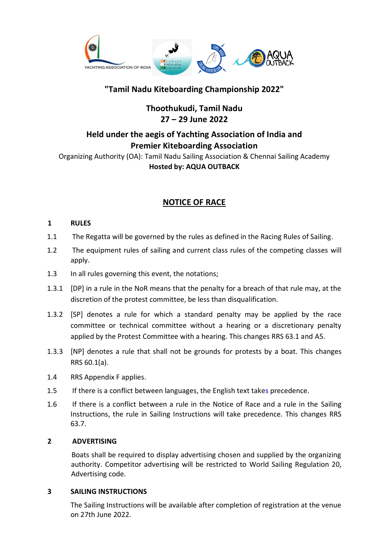

# **"Tamil Nadu Kiteboarding Championship 2022"**

**Thoothukudi, Tamil Nadu 27 – 29 June 2022**

# **Held under the aegis of Yachting Association of India and Premier Kiteboarding Association**

Organizing Authority (OA): Tamil Nadu Sailing Association & Chennai Sailing Academy **Hosted by: AQUA OUTBACK**

# **NOTICE OF RACE**

#### **1 RULES**

- 1.1 The Regatta will be governed by the rules as defined in the Racing Rules of Sailing.
- 1.2 The equipment rules of sailing and current class rules of the competing classes will apply.
- 1.3 In all rules governing this event, the notations;
- 1.3.1 [DP] in a rule in the NoR means that the penalty for a breach of that rule may, at the discretion of the protest committee, be less than disqualification.
- 1.3.2 [SP] denotes a rule for which a standard penalty may be applied by the race committee or technical committee without a hearing or a discretionary penalty applied by the Protest Committee with a hearing. This changes RRS 63.1 and A5.
- 1.3.3 [NP] denotes a rule that shall not be grounds for protests by a boat. This changes RRS 60.1(a).
- 1.4 RRS Appendix F applies.
- 1.5 If there is a conflict between languages, the English text takes precedence.
- 1.6 If there is a conflict between a rule in the Notice of Race and a rule in the Sailing Instructions, the rule in Sailing Instructions will take precedence. This changes RRS 63.7.

#### **2 ADVERTISING**

Boats shall be required to display advertising chosen and supplied by the organizing authority. Competitor advertising will be restricted to World Sailing Regulation 20, Advertising code.

#### **3 SAILING INSTRUCTIONS**

The Sailing Instructions will be available after completion of registration at the venue on 27th June 2022.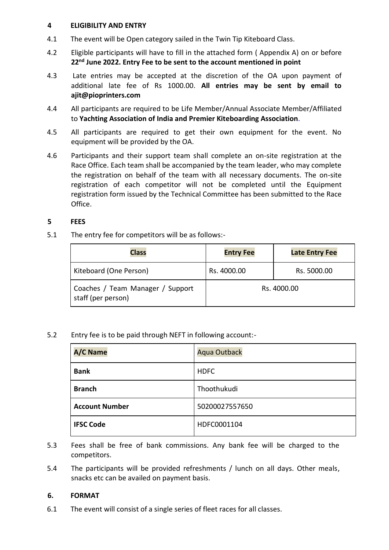#### **4 ELIGIBILITY AND ENTRY**

- 4.1 The event will be Open category sailed in the Twin Tip Kiteboard Class.
- 4.2 Eligible participants will have to fill in the attached form ( Appendix A) on or before **22nd June 2022. Entry Fee to be sent to the account mentioned in point**
- 4.3 Late entries may be accepted at the discretion of the OA upon payment of additional late fee of Rs 1000.00. **All entries may be sent by email to ajit@pioprinters.com**
- 4.4 All participants are required to be Life Member/Annual Associate Member/Affiliated to **Yachting Association of India and Premier Kiteboarding Association**.
- 4.5 All participants are required to get their own equipment for the event. No equipment will be provided by the OA.
- 4.6 Participants and their support team shall complete an on-site registration at the Race Office. Each team shall be accompanied by the team leader, who may complete the registration on behalf of the team with all necessary documents. The on-site registration of each competitor will not be completed until the Equipment registration form issued by the Technical Committee has been submitted to the Race Office.

#### **5 FEES**

5.1 The entry fee for competitors will be as follows:-

| <b>Class</b>                                           | <b>Entry Fee</b> | <b>Late Entry Fee</b> |
|--------------------------------------------------------|------------------|-----------------------|
| Kiteboard (One Person)                                 | Rs. 4000.00      | Rs. 5000.00           |
| Coaches / Team Manager / Support<br>staff (per person) | Rs. 4000.00      |                       |

5.2 Entry fee is to be paid through NEFT in following account:-

| <b>A/C Name</b>       | <b>Aqua Outback</b> |
|-----------------------|---------------------|
| <b>Bank</b>           | <b>HDFC</b>         |
| <b>Branch</b>         | Thoothukudi         |
| <b>Account Number</b> | 50200027557650      |
| <b>IFSC Code</b>      | HDFC0001104         |

- 5.3 Fees shall be free of bank commissions. Any bank fee will be charged to the competitors.
- 5.4 The participants will be provided refreshments / lunch on all days. Other meals, snacks etc can be availed on payment basis.

#### **6. FORMAT**

6.1 The event will consist of a single series of fleet races for all classes.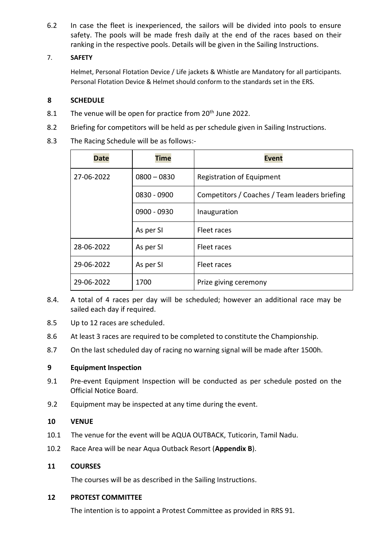6.2 In case the fleet is inexperienced, the sailors will be divided into pools to ensure safety. The pools will be made fresh daily at the end of the races based on their ranking in the respective pools. Details will be given in the Sailing Instructions.

#### 7. **SAFETY**

Helmet, Personal Flotation Device / Life jackets & Whistle are Mandatory for all participants. Personal Flotation Device & Helmet should conform to the standards set in the ERS.

#### **8 SCHEDULE**

- 8.1 The venue will be open for practice from 20<sup>th</sup> June 2022.
- 8.2 Briefing for competitors will be held as per schedule given in Sailing Instructions.
- 8.3 The Racing Schedule will be as follows:-

| <b>Date</b> | <b>Time</b>   | <b>Event</b>                                  |
|-------------|---------------|-----------------------------------------------|
| 27-06-2022  | $0800 - 0830$ | <b>Registration of Equipment</b>              |
|             | 0830 - 0900   | Competitors / Coaches / Team leaders briefing |
|             | 0900 - 0930   | Inauguration                                  |
|             | As per SI     | Fleet races                                   |
| 28-06-2022  | As per SI     | Fleet races                                   |
| 29-06-2022  | As per SI     | Fleet races                                   |
| 29-06-2022  | 1700          | Prize giving ceremony                         |

- 8.4. A total of 4 races per day will be scheduled; however an additional race may be sailed each day if required.
- 8.5 Up to 12 races are scheduled.
- 8.6 At least 3 races are required to be completed to constitute the Championship.
- 8.7 On the last scheduled day of racing no warning signal will be made after 1500h.

#### **9 Equipment Inspection**

- 9.1 Pre-event Equipment Inspection will be conducted as per schedule posted on the Official Notice Board.
- 9.2 Equipment may be inspected at any time during the event.

#### **10 VENUE**

- 10.1 The venue for the event will be AQUA OUTBACK, Tuticorin, Tamil Nadu.
- 10.2 Race Area will be near Aqua Outback Resort (**Appendix B**).

#### **11 COURSES**

The courses will be as described in the Sailing Instructions.

#### **12 PROTEST COMMITTEE**

The intention is to appoint a Protest Committee as provided in RRS 91.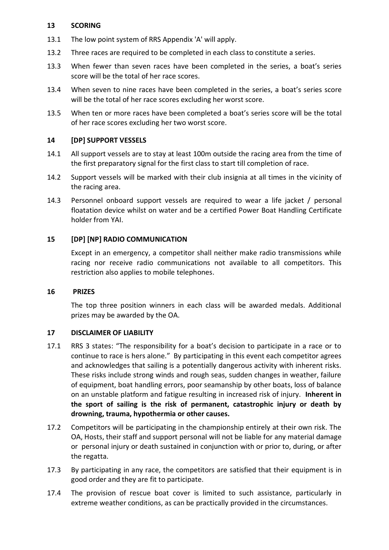#### **13 SCORING**

- 13.1 The low point system of RRS Appendix 'A' will apply.
- 13.2 Three races are required to be completed in each class to constitute a series.
- 13.3 When fewer than seven races have been completed in the series, a boat's series score will be the total of her race scores.
- 13.4 When seven to nine races have been completed in the series, a boat's series score will be the total of her race scores excluding her worst score.
- 13.5 When ten or more races have been completed a boat's series score will be the total of her race scores excluding her two worst score.

#### **14 [DP] SUPPORT VESSELS**

- 14.1 All support vessels are to stay at least 100m outside the racing area from the time of the first preparatory signal for the first class to start till completion of race.
- 14.2 Support vessels will be marked with their club insignia at all times in the vicinity of the racing area.
- 14.3 Personnel onboard support vessels are required to wear a life jacket / personal floatation device whilst on water and be a certified Power Boat Handling Certificate holder from YAI.

#### **15 [DP] [NP] RADIO COMMUNICATION**

Except in an emergency, a competitor shall neither make radio transmissions while racing nor receive radio communications not available to all competitors. This restriction also applies to mobile telephones.

#### **16 PRIZES**

The top three position winners in each class will be awarded medals. Additional prizes may be awarded by the OA.

#### **17 DISCLAIMER OF LIABILITY**

- 17.1 RRS 3 states: "The responsibility for a boat's decision to participate in a race or to continue to race is hers alone." By participating in this event each competitor agrees and acknowledges that sailing is a potentially dangerous activity with inherent risks. These risks include strong winds and rough seas, sudden changes in weather, failure of equipment, boat handling errors, poor seamanship by other boats, loss of balance on an unstable platform and fatigue resulting in increased risk of injury. **Inherent in the sport of sailing is the risk of permanent, catastrophic injury or death by drowning, trauma, hypothermia or other causes.**
- 17.2 Competitors will be participating in the championship entirely at their own risk. The OA, Hosts, their staff and support personal will not be liable for any material damage or personal injury or death sustained in conjunction with or prior to, during, or after the regatta.
- 17.3 By participating in any race, the competitors are satisfied that their equipment is in good order and they are fit to participate.
- 17.4 The provision of rescue boat cover is limited to such assistance, particularly in extreme weather conditions, as can be practically provided in the circumstances.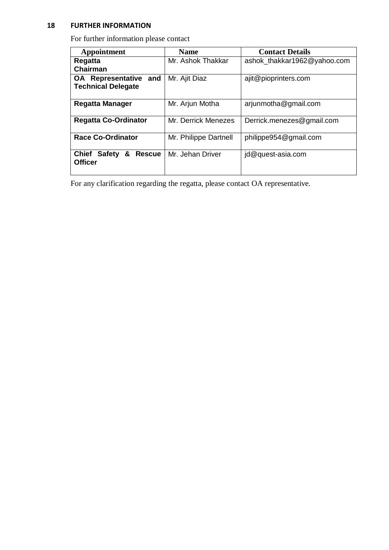#### **18 FURTHER INFORMATION**

For further information please contact

| Appointment                                                  | <b>Name</b>           | <b>Contact Details</b>      |
|--------------------------------------------------------------|-----------------------|-----------------------------|
| Regatta<br>Chairman                                          | Mr. Ashok Thakkar     | ashok thakkar1962@yahoo.com |
| <b>OA</b> Representative<br>and<br><b>Technical Delegate</b> | Mr. Ajit Diaz         | ajit@pioprinters.com        |
| <b>Regatta Manager</b>                                       | Mr. Arjun Motha       | arjunmotha@gmail.com        |
| <b>Regatta Co-Ordinator</b>                                  | Mr. Derrick Menezes   | Derrick.menezes@gmail.com   |
| <b>Race Co-Ordinator</b>                                     | Mr. Philippe Dartnell | philippe954@gmail.com       |
| <b>Chief Safety</b><br>&<br><b>Rescue</b><br><b>Officer</b>  | Mr. Jehan Driver      | jd@quest-asia.com           |

For any clarification regarding the regatta, please contact OA representative.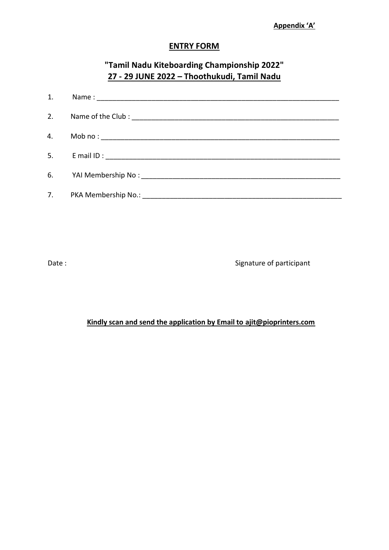### **ENTRY FORM**

# **"Tamil Nadu Kiteboarding Championship 2022" 27 - 29 JUNE 2022 – Thoothukudi, Tamil Nadu**

| 1. |  |
|----|--|
|    |  |
|    |  |
|    |  |
|    |  |
|    |  |

Date : Signature of participant

## **Kindly scan and send the application by Email to ajit@pioprinters.com**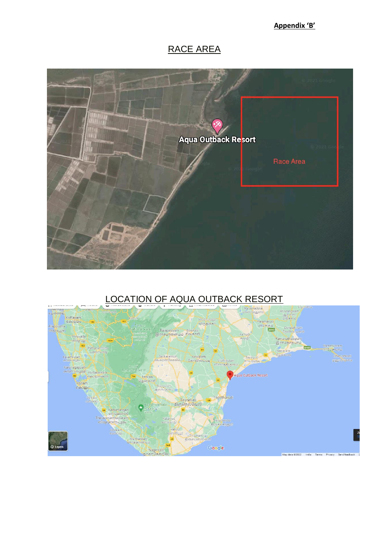**Appendix 'B'**

# RACE AREA